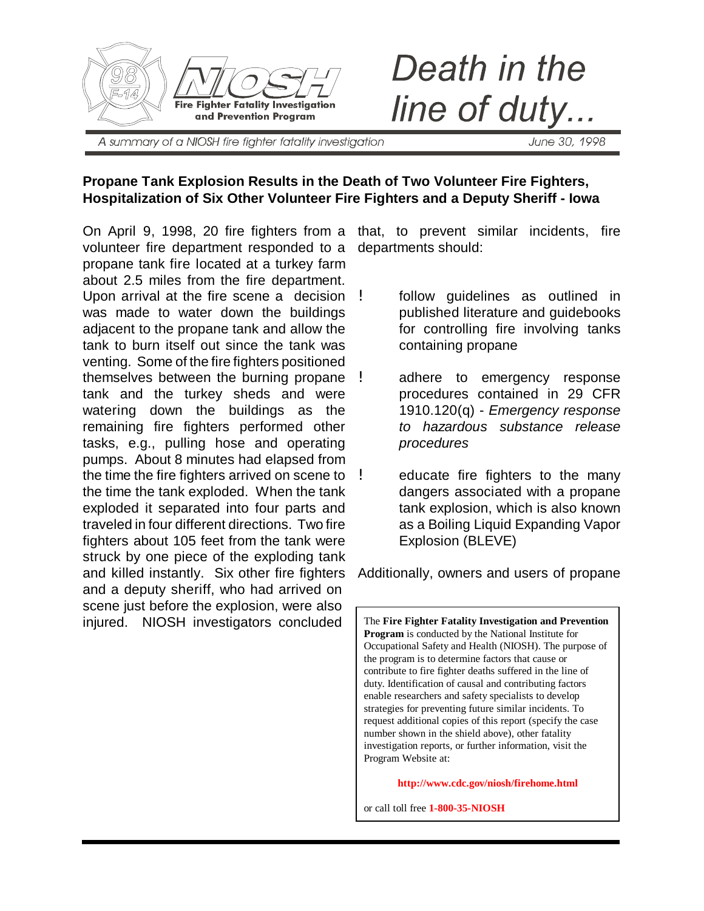

Death in the line of duty.

A summary of a NIOSH fire fighter fatality investigation

June 30, 1998

#### **Propane Tank Explosion Results in the Death of Two Volunteer Fire Fighters, Hospitalization of Six Other Volunteer Fire Fighters and a Deputy Sheriff - Iowa**

On April 9, 1998, 20 fire fighters from a that, to prevent similar incidents, fire volunteer fire department responded to a departments should: propane tank fire located at a turkey farm about 2.5 miles from the fire department. Upon arrival at the fire scene a decision ! was made to water down the buildings adjacent to the propane tank and allow the tank to burn itself out since the tank was venting. Some of the fire fighters positioned themselves between the burning propane tank and the turkey sheds and were watering down the buildings as the remaining fire fighters performed other tasks, e.g., pulling hose and operating pumps. About 8 minutes had elapsed from the time the fire fighters arrived on scene to  $\frac{1}{2}$ the time the tank exploded. When the tank exploded it separated into four parts and traveled in four different directions. Two fire fighters about 105 feet from the tank were struck by one piece of the exploding tank and killed instantly. Six other fire fighters and a deputy sheriff, who had arrived on scene just before the explosion, were also injured. NIOSH investigators concluded

- follow guidelines as outlined in published literature and guidebooks for controlling fire involving tanks containing propane
- adhere to emergency response procedures contained in 29 CFR 1910.120(q) - *Emergency response to hazardous substance release procedures*
- educate fire fighters to the many dangers associated with a propane tank explosion, which is also known as a Boiling Liquid Expanding Vapor Explosion (BLEVE)

Additionally, owners and users of propane

The **Fire Fighter Fatality Investigation and Prevention Program** is conducted by the National Institute for Occupational Safety and Health (NIOSH). The purpose of the program is to determine factors that cause or contribute to fire fighter deaths suffered in the line of duty. Identification of causal and contributing factors enable researchers and safety specialists to develop strategies for preventing future similar incidents. To request additional copies of this report (specify the case number shown in the shield above), other fatality investigation reports, or further information, visit the Program Website at:

**http://www.cdc.gov/niosh/firehome.html**

or call toll free **1-800-35-NIOSH**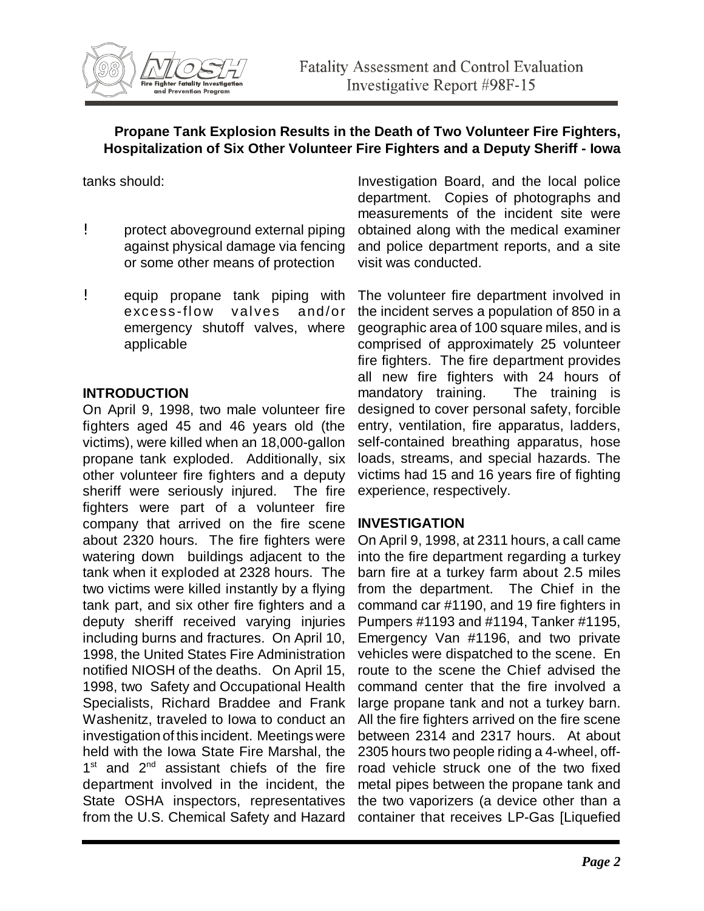

tanks should:

- ! protect aboveground external piping against physical damage via fencing or some other means of protection
- ! equip propane tank piping with excess-flow valves and/or emergency shutoff valves, where applicable

#### **INTRODUCTION**

On April 9, 1998, two male volunteer fire fighters aged 45 and 46 years old (the victims), were killed when an 18,000-gallon propane tank exploded. Additionally, six other volunteer fire fighters and a deputy sheriff were seriously injured. The fire fighters were part of a volunteer fire company that arrived on the fire scene about 2320 hours. The fire fighters were watering down buildings adjacent to the tank when it exploded at 2328 hours. The two victims were killed instantly by a flying tank part, and six other fire fighters and a deputy sheriff received varying injuries including burns and fractures. On April 10, 1998, the United States Fire Administration notified NIOSH of the deaths. On April 15, 1998, two Safety and Occupational Health Specialists, Richard Braddee and Frank Washenitz, traveled to Iowa to conduct an investigation of this incident. Meetings were held with the Iowa State Fire Marshal, the  $1<sup>st</sup>$  and  $2<sup>nd</sup>$  assistant chiefs of the fire department involved in the incident, the State OSHA inspectors, representatives from the U.S. Chemical Safety and Hazard

Investigation Board, and the local police department. Copies of photographs and measurements of the incident site were obtained along with the medical examiner and police department reports, and a site visit was conducted.

The volunteer fire department involved in the incident serves a population of 850 in a geographic area of 100 square miles, and is comprised of approximately 25 volunteer fire fighters. The fire department provides all new fire fighters with 24 hours of mandatory training. The training is designed to cover personal safety, forcible entry, ventilation, fire apparatus, ladders, self-contained breathing apparatus, hose loads, streams, and special hazards. The victims had 15 and 16 years fire of fighting experience, respectively.

#### **INVESTIGATION**

On April 9, 1998, at 2311 hours, a call came into the fire department regarding a turkey barn fire at a turkey farm about 2.5 miles from the department. The Chief in the command car #1190, and 19 fire fighters in Pumpers #1193 and #1194, Tanker #1195, Emergency Van #1196, and two private vehicles were dispatched to the scene. En route to the scene the Chief advised the command center that the fire involved a large propane tank and not a turkey barn. All the fire fighters arrived on the fire scene between 2314 and 2317 hours. At about 2305 hours two people riding a 4-wheel, offroad vehicle struck one of the two fixed metal pipes between the propane tank and the two vaporizers (a device other than a container that receives LP-Gas [Liquefied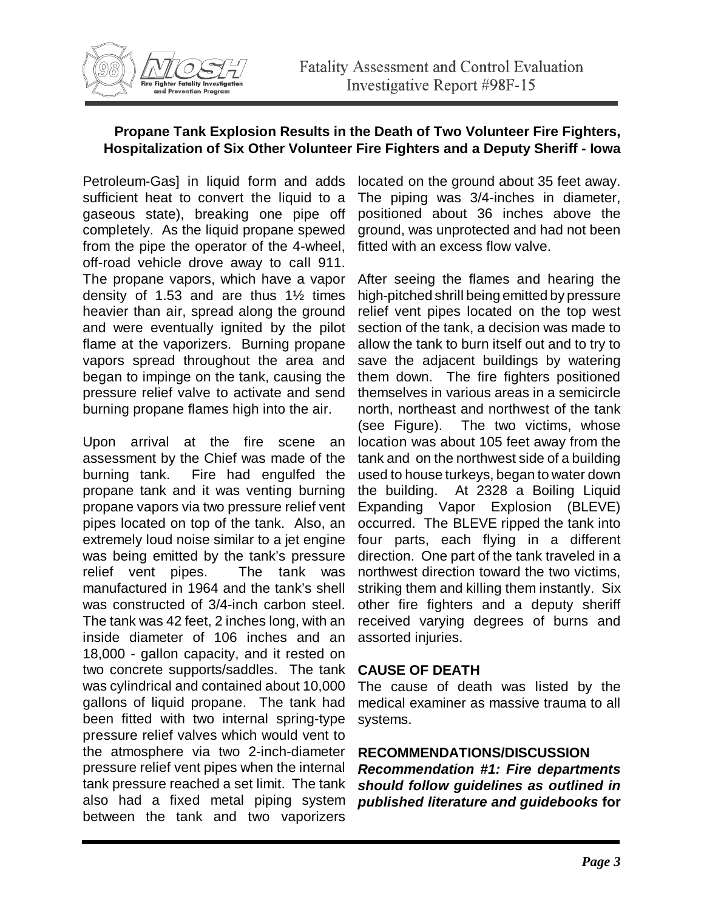Petroleum-Gas] in liquid form and adds sufficient heat to convert the liquid to a gaseous state), breaking one pipe off completely. As the liquid propane spewed from the pipe the operator of the 4-wheel, off-road vehicle drove away to call 911. The propane vapors, which have a vapor density of 1.53 and are thus 1½ times heavier than air, spread along the ground and were eventually ignited by the pilot flame at the vaporizers. Burning propane vapors spread throughout the area and began to impinge on the tank, causing the pressure relief valve to activate and send burning propane flames high into the air.

Upon arrival at the fire scene an assessment by the Chief was made of the burning tank. Fire had engulfed the propane tank and it was venting burning propane vapors via two pressure relief vent pipes located on top of the tank. Also, an extremely loud noise similar to a jet engine was being emitted by the tank's pressure relief vent pipes. The tank was manufactured in 1964 and the tank's shell was constructed of 3/4-inch carbon steel. The tank was 42 feet, 2 inches long, with an inside diameter of 106 inches and an 18,000 - gallon capacity, and it rested on two concrete supports/saddles. The tank was cylindrical and contained about 10,000 gallons of liquid propane. The tank had been fitted with two internal spring-type pressure relief valves which would vent to the atmosphere via two 2-inch-diameter pressure relief vent pipes when the internal tank pressure reached a set limit. The tank also had a fixed metal piping system between the tank and two vaporizers

located on the ground about 35 feet away. The piping was 3/4-inches in diameter, positioned about 36 inches above the ground, was unprotected and had not been fitted with an excess flow valve.

After seeing the flames and hearing the high-pitched shrill being emitted by pressure relief vent pipes located on the top west section of the tank, a decision was made to allow the tank to burn itself out and to try to save the adjacent buildings by watering them down. The fire fighters positioned themselves in various areas in a semicircle north, northeast and northwest of the tank (see Figure). The two victims, whose location was about 105 feet away from the tank and on the northwest side of a building used to house turkeys, began to water down the building. At 2328 a Boiling Liquid Expanding Vapor Explosion (BLEVE) occurred. The BLEVE ripped the tank into four parts, each flying in a different direction. One part of the tank traveled in a northwest direction toward the two victims, striking them and killing them instantly. Six other fire fighters and a deputy sheriff received varying degrees of burns and assorted injuries.

#### **CAUSE OF DEATH**

The cause of death was listed by the medical examiner as massive trauma to all systems.

## **RECOMMENDATIONS/DISCUSSION**

*Recommendation #1: Fire departments should follow guidelines as outlined in published literature and guidebooks* **for**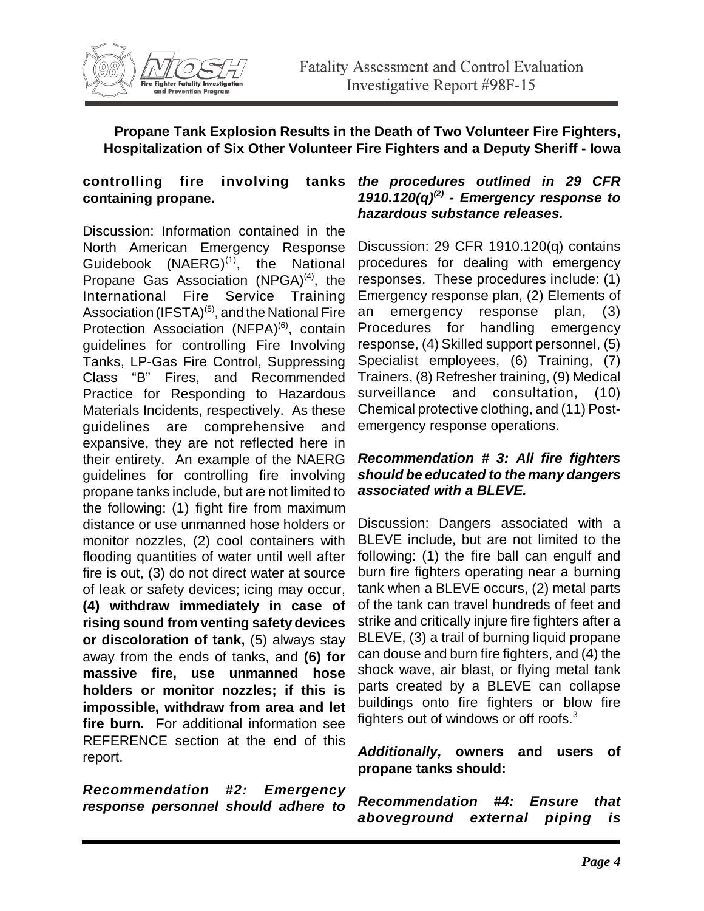

# **controlling fire involving containing propane.**

Discussion: Information contained in the North American Emergency Response Guidebook (NAERG) $<sup>(1)</sup>$ , the National</sup> Propane Gas Association  $(NPGA)^{(4)}$ , the International Fire Service Training Association (IFSTA)<sup>(5)</sup>, and the National Fire Protection Association (NFPA)<sup>(6)</sup>, contain guidelines for controlling Fire Involving Tanks, LP-Gas Fire Control, Suppressing Class "B" Fires, and Recommended Practice for Responding to Hazardous Materials Incidents, respectively. As these guidelines are comprehensive and expansive, they are not reflected here in their entirety. An example of the NAERG guidelines for controlling fire involving propane tanks include, but are not limited to the following: (1) fight fire from maximum distance or use unmanned hose holders or monitor nozzles, (2) cool containers with flooding quantities of water until well after fire is out, (3) do not direct water at source of leak or safety devices; icing may occur, **(4) withdraw immediately in case of rising sound from venting safety devices or discoloration of tank,** (5) always stay away from the ends of tanks, and **(6) for massive fire, use unmanned hose holders or monitor nozzles; if this is impossible, withdraw from area and let fire burn.** For additional information see REFERENCE section at the end of this report.

*Recommendation #2: Emergency response personnel should adhere to*

### *the procedures outlined in 29 CFR 1910.120(q)(2) - Emergency response to hazardous substance releases.*

Discussion: 29 CFR 1910.120(q) contains procedures for dealing with emergency responses. These procedures include: (1) Emergency response plan, (2) Elements of an emergency response plan, (3) Procedures for handling emergency response, (4) Skilled support personnel, (5) Specialist employees, (6) Training, (7) Trainers, (8) Refresher training, (9) Medical surveillance and consultation, (10) Chemical protective clothing, and (11) Postemergency response operations.

#### *Recommendation # 3: All fire fighters should be educated to the many dangers associated with a BLEVE.*

Discussion: Dangers associated with a BLEVE include, but are not limited to the following: (1) the fire ball can engulf and burn fire fighters operating near a burning tank when a BLEVE occurs, (2) metal parts of the tank can travel hundreds of feet and strike and critically injure fire fighters after a BLEVE, (3) a trail of burning liquid propane can douse and burn fire fighters, and (4) the shock wave, air blast, or flying metal tank parts created by a BLEVE can collapse buildings onto fire fighters or blow fire fighters out of windows or off roofs. $3$ 

### *Additionally,* **owners and users of propane tanks should:**

*Recommendation #4: Ensure that aboveground external piping is*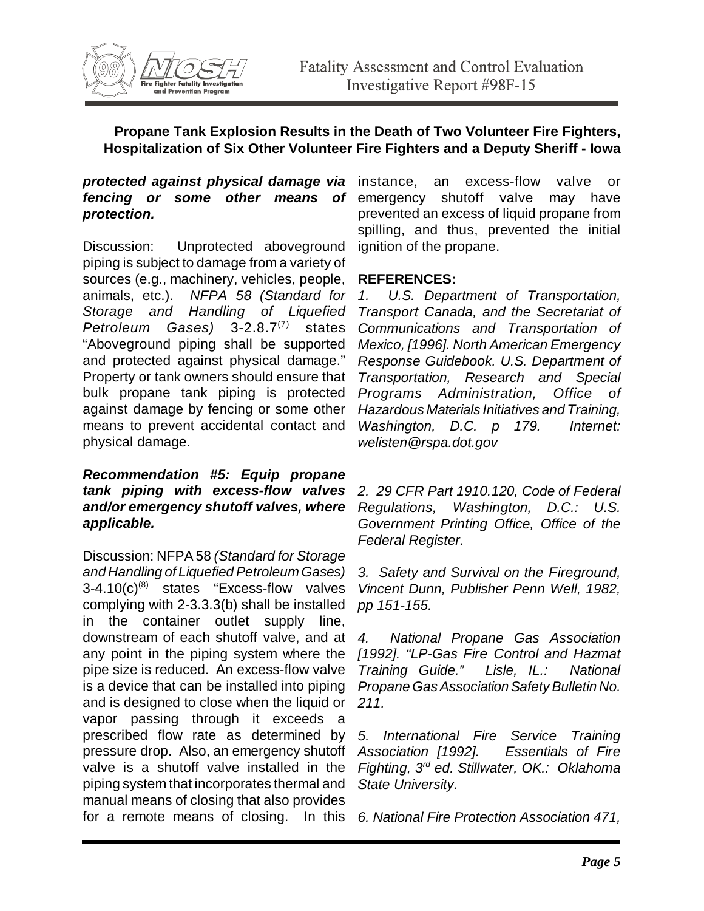

#### *protected against physical damage via* fencing or some other means of emergency shutoff valve may have *protection.*

Discussion: Unprotected aboveground piping is subject to damage from a variety of sources (e.g., machinery, vehicles, people, animals, etc.). *NFPA 58 (Standard for Storage and Handling of Liquefied Petroleum Gases)* 3-2.8.7(7) states "Aboveground piping shall be supported and protected against physical damage." Property or tank owners should ensure that bulk propane tank piping is protected against damage by fencing or some other means to prevent accidental contact and physical damage.

*Recommendation #5: Equip propane tank piping with excess-flow valves and/or emergency shutoff valves, where applicable.*

Discussion: NFPA 58 *(Standard for Storage and Handling of Liquefied Petroleum Gases)*  $3-4.10(c)^{(8)}$  states "Excess-flow valves" complying with 2-3.3.3(b) shall be installed in the container outlet supply line, downstream of each shutoff valve, and at any point in the piping system where the pipe size is reduced. An excess-flow valve is a device that can be installed into piping and is designed to close when the liquid or vapor passing through it exceeds a prescribed flow rate as determined by pressure drop. Also, an emergency shutoff valve is a shutoff valve installed in the piping system that incorporates thermal and manual means of closing that also provides for a remote means of closing. In this *6. National Fire Protection Association 471,*

an excess-flow valve or prevented an excess of liquid propane from spilling, and thus, prevented the initial ignition of the propane.

### **REFERENCES:**

*1. U.S. Department of Transportation, Transport Canada, and the Secretariat of Communications and Transportation of Mexico, [1996]. North American Emergency Response Guidebook. U.S. Department of Transportation, Research and Special Programs Administration, Office of Hazardous Materials Initiatives and Training, Washington, D.C. p 179. Internet: welisten@rspa.dot.gov*

*2. 29 CFR Part 1910.120, Code of Federal Regulations, Washington, D.C.: U.S. Government Printing Office, Office of the Federal Register.*

*3. Safety and Survival on the Fireground, Vincent Dunn, Publisher Penn Well, 1982, pp 151-155.*

*4. National Propane Gas Association [1992]. "LP-Gas Fire Control and Hazmat Training Guide." Lisle, IL.: National Propane Gas Association Safety Bulletin No. 211.*

*5. International Fire Service Training Association [1992]. Essentials of Fire Fighting, 3rd ed. Stillwater, OK.: Oklahoma State University.*